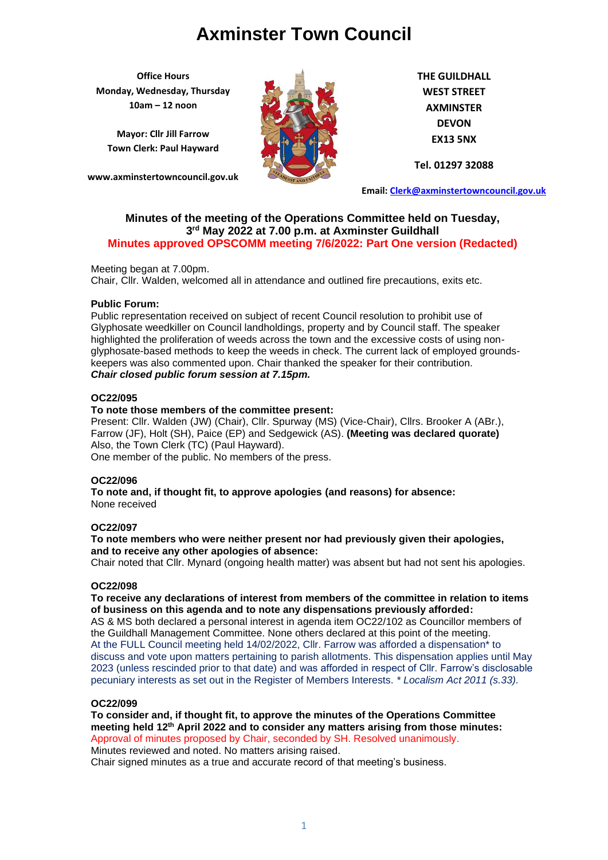**Office Hours Monday, Wednesday, Thursday 10am – 12 noon**

**Mayor: Cllr Jill Farrow Town Clerk: Paul Hayward**

**www.axminstertowncouncil.gov.uk**



**THE GUILDHALL WEST STREET AXMINSTER DEVON EX13 5NX**

**Tel. 01297 32088**

**Email: [Clerk@axminstertowncouncil.gov.uk](file://///axm-svr-1/company/Templates/Clerk@axminstertowncouncil.gov.uk)**

## **Minutes of the meeting of the Operations Committee held on Tuesday, 3 rd May 2022 at 7.00 p.m. at Axminster Guildhall Minutes approved OPSCOMM meeting 7/6/2022: Part One version (Redacted)**

Meeting began at 7.00pm.

Chair, Cllr. Walden, welcomed all in attendance and outlined fire precautions, exits etc.

## **Public Forum:**

Public representation received on subject of recent Council resolution to prohibit use of Glyphosate weedkiller on Council landholdings, property and by Council staff. The speaker highlighted the proliferation of weeds across the town and the excessive costs of using nonglyphosate-based methods to keep the weeds in check. The current lack of employed groundskeepers was also commented upon. Chair thanked the speaker for their contribution. *Chair closed public forum session at 7.15pm.*

## **OC22/095**

## **To note those members of the committee present:**

Present: Cllr. Walden (JW) (Chair), Cllr. Spurway (MS) (Vice-Chair), Cllrs. Brooker A (ABr.), Farrow (JF), Holt (SH), Paice (EP) and Sedgewick (AS). **(Meeting was declared quorate)** Also, the Town Clerk (TC) (Paul Hayward). One member of the public. No members of the press.

## **OC22/096**

**To note and, if thought fit, to approve apologies (and reasons) for absence:** None received

### **OC22/097**

### **To note members who were neither present nor had previously given their apologies, and to receive any other apologies of absence:**

Chair noted that Cllr. Mynard (ongoing health matter) was absent but had not sent his apologies.

## **OC22/098**

**To receive any declarations of interest from members of the committee in relation to items of business on this agenda and to note any dispensations previously afforded:**

AS & MS both declared a personal interest in agenda item OC22/102 as Councillor members of the Guildhall Management Committee. None others declared at this point of the meeting. At the FULL Council meeting held 14/02/2022, Cllr. Farrow was afforded a dispensation\* to discuss and vote upon matters pertaining to parish allotments. This dispensation applies until May 2023 (unless rescinded prior to that date) and was afforded in respect of Cllr. Farrow's disclosable pecuniary interests as set out in the Register of Members Interests. *\* Localism Act 2011 (s.33).*

### **OC22/099**

**To consider and, if thought fit, to approve the minutes of the Operations Committee meeting held 12th April 2022 and to consider any matters arising from those minutes:** Approval of minutes proposed by Chair, seconded by SH. Resolved unanimously. Minutes reviewed and noted. No matters arising raised. Chair signed minutes as a true and accurate record of that meeting's business.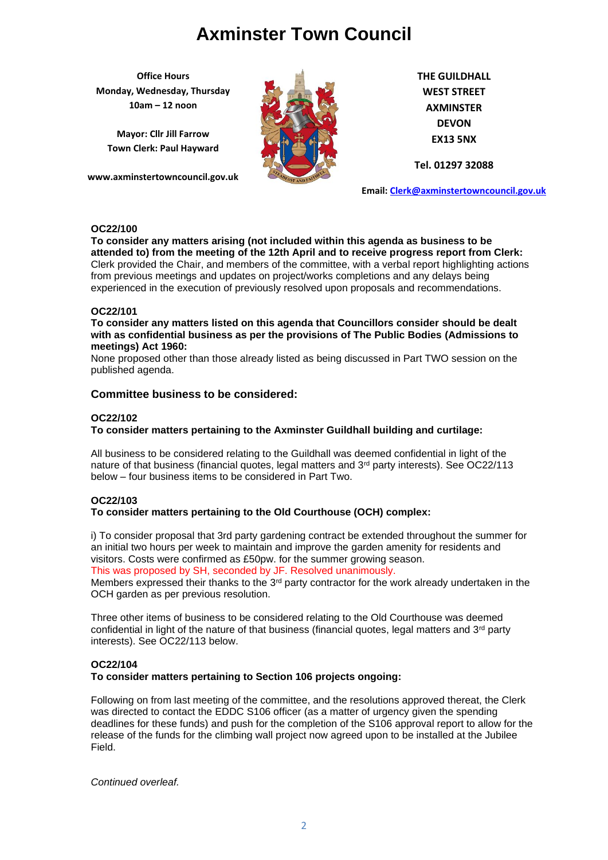**Office Hours Monday, Wednesday, Thursday 10am – 12 noon**

**Mayor: Cllr Jill Farrow Town Clerk: Paul Hayward**

**www.axminstertowncouncil.gov.uk**



**THE GUILDHALL WEST STREET AXMINSTER DEVON EX13 5NX**

**Tel. 01297 32088**

**Email: [Clerk@axminstertowncouncil.gov.uk](file://///axm-svr-1/company/Templates/Clerk@axminstertowncouncil.gov.uk)**

### **OC22/100**

**TEL: 01297 32088** experienced in the execution of previously resolved upon proposals and recommendations. **To consider any matters arising (not included within this agenda as business to be attended to) from the meeting of the 12th April and to receive progress report from Clerk:** Clerk provided the Chair, and members of the committee, with a verbal report highlighting actions from previous meetings and updates on project/works completions and any delays being

### **OC22/101**

**To consider any matters listed on this agenda that Councillors consider should be dealt with as confidential business as per the provisions of The Public Bodies (Admissions to meetings) Act 1960:**

None proposed other than those already listed as being discussed in Part TWO session on the published agenda.

## **Committee business to be considered:**

### **OC22/102**

**To consider matters pertaining to the Axminster Guildhall building and curtilage:**

All business to be considered relating to the Guildhall was deemed confidential in light of the nature of that business (financial quotes, legal matters and 3<sup>rd</sup> party interests). See OC22/113 below – four business items to be considered in Part Two.

## **OC22/103**

## **To consider matters pertaining to the Old Courthouse (OCH) complex:**

i) To consider proposal that 3rd party gardening contract be extended throughout the summer for an initial two hours per week to maintain and improve the garden amenity for residents and visitors. Costs were confirmed as £50pw. for the summer growing season. This was proposed by SH, seconded by JF. Resolved unanimously.

Members expressed their thanks to the  $3<sup>rd</sup>$  party contractor for the work already undertaken in the OCH garden as per previous resolution.

Three other items of business to be considered relating to the Old Courthouse was deemed confidential in light of the nature of that business (financial quotes, legal matters and  $3<sup>rd</sup>$  party interests). See OC22/113 below.

## **OC22/104**

## **To consider matters pertaining to Section 106 projects ongoing:**

Following on from last meeting of the committee, and the resolutions approved thereat, the Clerk was directed to contact the EDDC S106 officer (as a matter of urgency given the spending deadlines for these funds) and push for the completion of the S106 approval report to allow for the release of the funds for the climbing wall project now agreed upon to be installed at the Jubilee Field.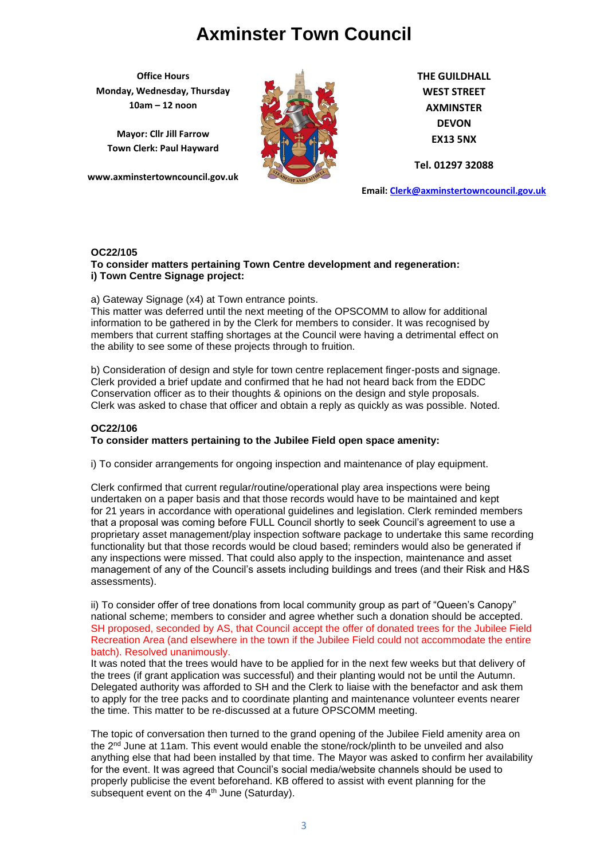**Office Hours Monday, Wednesday, Thursday 10am – 12 noon**

**Mayor: Cllr Jill Farrow Town Clerk: Paul Hayward**

**www.axminstertowncouncil.gov.uk**



**THE GUILDHALL WEST STREET AXMINSTER DEVON EX13 5NX**

**Tel. 01297 32088**

**Email: [Clerk@axminstertowncouncil.gov.uk](file://///axm-svr-1/company/Templates/Clerk@axminstertowncouncil.gov.uk)**

## **OC22/105**

**To consider matters pertaining Town Centre development and regeneration: i) Town Centre Signage project:**

a) Gateway Signage (x4) at Town entrance points.

This matter was deferred until the next meeting of the OPSCOMM to allow for additional information to be gathered in by the Clerk for members to consider. It was recognised by members that current staffing shortages at the Council were having a detrimental effect on the ability to see some of these projects through to fruition.

b) Consideration of design and style for town centre replacement finger-posts and signage. Clerk provided a brief update and confirmed that he had not heard back from the EDDC Conservation officer as to their thoughts & opinions on the design and style proposals. Clerk was asked to chase that officer and obtain a reply as quickly as was possible. Noted.

#### **OC22/106 To consider matters pertaining to the Jubilee Field open space amenity:**

i) To consider arrangements for ongoing inspection and maintenance of play equipment.

Clerk confirmed that current regular/routine/operational play area inspections were being undertaken on a paper basis and that those records would have to be maintained and kept for 21 years in accordance with operational guidelines and legislation. Clerk reminded members that a proposal was coming before FULL Council shortly to seek Council's agreement to use a proprietary asset management/play inspection software package to undertake this same recording functionality but that those records would be cloud based; reminders would also be generated if any inspections were missed. That could also apply to the inspection, maintenance and asset management of any of the Council's assets including buildings and trees (and their Risk and H&S assessments).

ii) To consider offer of tree donations from local community group as part of "Queen's Canopy" national scheme; members to consider and agree whether such a donation should be accepted. SH proposed, seconded by AS, that Council accept the offer of donated trees for the Jubilee Field Recreation Area (and elsewhere in the town if the Jubilee Field could not accommodate the entire batch). Resolved unanimously.

It was noted that the trees would have to be applied for in the next few weeks but that delivery of the trees (if grant application was successful) and their planting would not be until the Autumn. Delegated authority was afforded to SH and the Clerk to liaise with the benefactor and ask them to apply for the tree packs and to coordinate planting and maintenance volunteer events nearer the time. This matter to be re-discussed at a future OPSCOMM meeting.

The topic of conversation then turned to the grand opening of the Jubilee Field amenity area on the 2nd June at 11am. This event would enable the stone/rock/plinth to be unveiled and also anything else that had been installed by that time. The Mayor was asked to confirm her availability for the event. It was agreed that Council's social media/website channels should be used to properly publicise the event beforehand. KB offered to assist with event planning for the subsequent event on the 4<sup>th</sup> June (Saturday).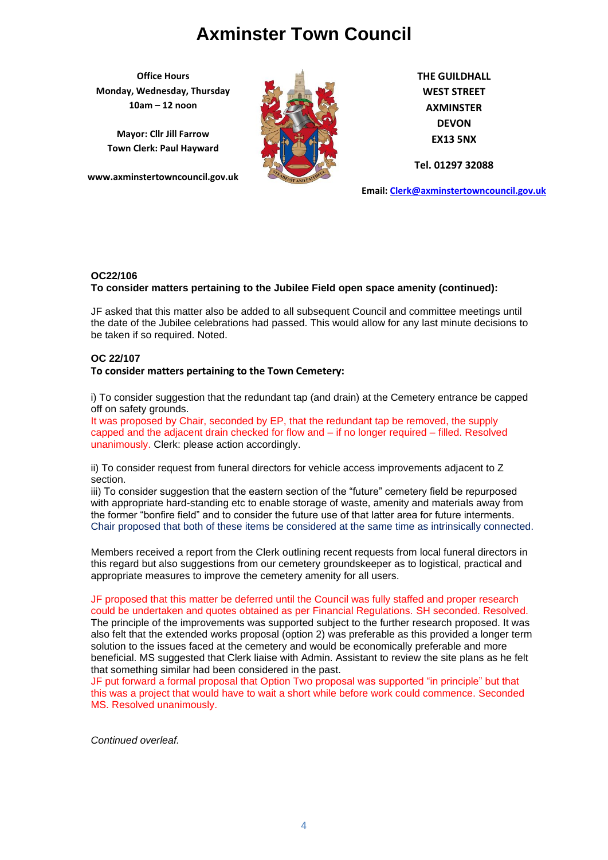**Office Hours Monday, Wednesday, Thursday 10am – 12 noon**

**Mayor: Cllr Jill Farrow Town Clerk: Paul Hayward**

**www.axminstertowncouncil.gov.uk**



**THE GUILDHALL WEST STREET AXMINSTER DEVON EX13 5NX**

**Tel. 01297 32088**

**Email: [Clerk@axminstertowncouncil.gov.uk](file://///axm-svr-1/company/Templates/Clerk@axminstertowncouncil.gov.uk)**

### **OC22/106**

## **TEL: 01297 32088 To consider matters pertaining to the Jubilee Field open space amenity (continued):**

JF asked that this matter also be added to all subsequent Council and committee meetings until the date of the Jubilee celebrations had passed. This would allow for any last minute decisions to be taken if so required. Noted.

#### **OC 22/107**

#### **To consider matters pertaining to the Town Cemetery:**

i) To consider suggestion that the redundant tap (and drain) at the Cemetery entrance be capped off on safety grounds.

It was proposed by Chair, seconded by EP, that the redundant tap be removed, the supply capped and the adjacent drain checked for flow and – if no longer required – filled. Resolved unanimously. Clerk: please action accordingly.

ii) To consider request from funeral directors for vehicle access improvements adjacent to Z section.

iii) To consider suggestion that the eastern section of the "future" cemetery field be repurposed with appropriate hard-standing etc to enable storage of waste, amenity and materials away from the former "bonfire field" and to consider the future use of that latter area for future interments. Chair proposed that both of these items be considered at the same time as intrinsically connected.

Members received a report from the Clerk outlining recent requests from local funeral directors in this regard but also suggestions from our cemetery groundskeeper as to logistical, practical and appropriate measures to improve the cemetery amenity for all users.

JF proposed that this matter be deferred until the Council was fully staffed and proper research could be undertaken and quotes obtained as per Financial Regulations. SH seconded. Resolved. The principle of the improvements was supported subject to the further research proposed. It was

also felt that the extended works proposal (option 2) was preferable as this provided a longer term solution to the issues faced at the cemetery and would be economically preferable and more beneficial. MS suggested that Clerk liaise with Admin. Assistant to review the site plans as he felt that something similar had been considered in the past.

JF put forward a formal proposal that Option Two proposal was supported "in principle" but that this was a project that would have to wait a short while before work could commence. Seconded MS. Resolved unanimously.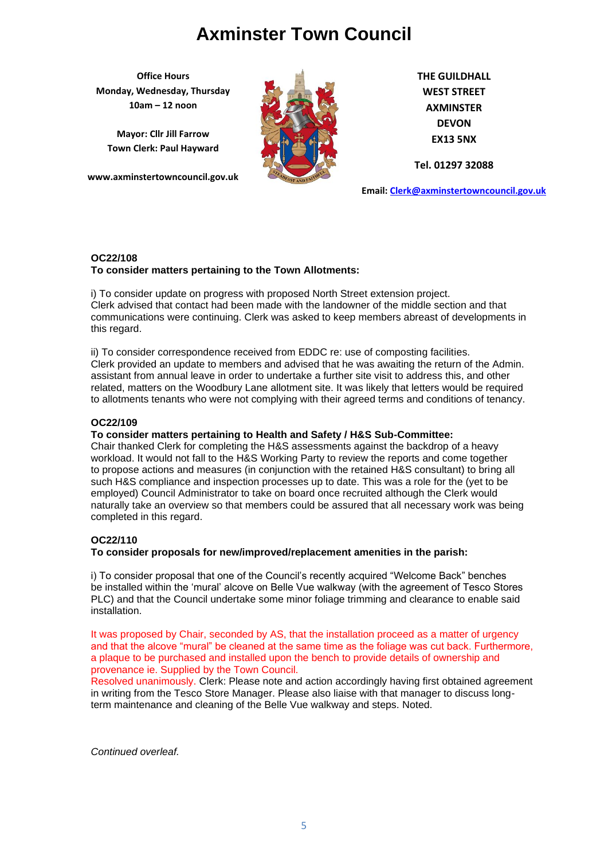**Office Hours Monday, Wednesday, Thursday 10am – 12 noon**

**Mayor: Cllr Jill Farrow Town Clerk: Paul Hayward**

**www.axminstertowncouncil.gov.uk**



**THE GUILDHALL WEST STREET AXMINSTER DEVON EX13 5NX**

**Tel. 01297 32088**

**Email: [Clerk@axminstertowncouncil.gov.uk](file://///axm-svr-1/company/Templates/Clerk@axminstertowncouncil.gov.uk)**

## **OC22/108**

## **To consider matters pertaining to the Town Allotments:**

**TEL: 01297 32088** i) To consider update on progress with proposed North Street extension project. Clerk advised that contact had been made with the landowner of the middle section and that communications were continuing. Clerk was asked to keep members abreast of developments in this regard.

ii) To consider correspondence received from EDDC re: use of composting facilities. Clerk provided an update to members and advised that he was awaiting the return of the Admin. assistant from annual leave in order to undertake a further site visit to address this, and other related, matters on the Woodbury Lane allotment site. It was likely that letters would be required to allotments tenants who were not complying with their agreed terms and conditions of tenancy.

## **OC22/109**

### **To consider matters pertaining to Health and Safety / H&S Sub-Committee:**

Chair thanked Clerk for completing the H&S assessments against the backdrop of a heavy workload. It would not fall to the H&S Working Party to review the reports and come together to propose actions and measures (in conjunction with the retained H&S consultant) to bring all such H&S compliance and inspection processes up to date. This was a role for the (yet to be employed) Council Administrator to take on board once recruited although the Clerk would naturally take an overview so that members could be assured that all necessary work was being completed in this regard.

## **OC22/110**

## **To consider proposals for new/improved/replacement amenities in the parish:**

i) To consider proposal that one of the Council's recently acquired "Welcome Back" benches be installed within the 'mural' alcove on Belle Vue walkway (with the agreement of Tesco Stores PLC) and that the Council undertake some minor foliage trimming and clearance to enable said installation.

It was proposed by Chair, seconded by AS, that the installation proceed as a matter of urgency and that the alcove "mural" be cleaned at the same time as the foliage was cut back. Furthermore, a plaque to be purchased and installed upon the bench to provide details of ownership and provenance ie. Supplied by the Town Council.

Resolved unanimously. Clerk: Please note and action accordingly having first obtained agreement in writing from the Tesco Store Manager. Please also liaise with that manager to discuss longterm maintenance and cleaning of the Belle Vue walkway and steps. Noted.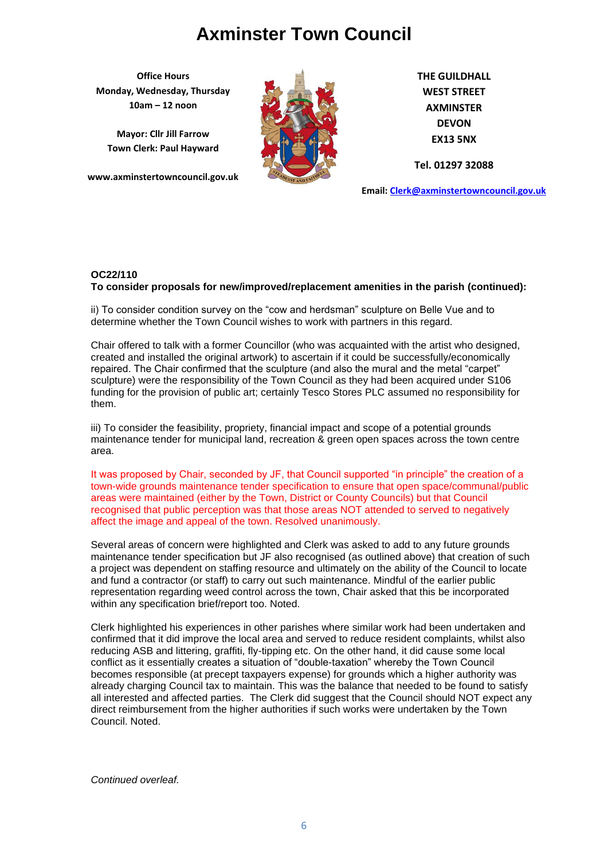**Office Hours Monday, Wednesday, Thursday 10am – 12 noon**

**Mayor: Cllr Jill Farrow Town Clerk: Paul Hayward**

**www.axminstertowncouncil.gov.uk**



**THE GUILDHALL WEST STREET AXMINSTER DEVON EX13 5NX**

**Tel. 01297 32088**

**Email: [Clerk@axminstertowncouncil.gov.uk](file://///axm-svr-1/company/Templates/Clerk@axminstertowncouncil.gov.uk)**

## To consider proposals for new/improved/replacement amenities in the parish (continued): **OC22/110**

ii) To consider condition survey on the "cow and herdsman" sculpture on Belle Vue and to determine whether the Town Council wishes to work with partners in this regard.

Chair offered to talk with a former Councillor (who was acquainted with the artist who designed, created and installed the original artwork) to ascertain if it could be successfully/economically repaired. The Chair confirmed that the sculpture (and also the mural and the metal "carpet" sculpture) were the responsibility of the Town Council as they had been acquired under S106 funding for the provision of public art; certainly Tesco Stores PLC assumed no responsibility for them.

iii) To consider the feasibility, propriety, financial impact and scope of a potential grounds maintenance tender for municipal land, recreation & green open spaces across the town centre area.

It was proposed by Chair, seconded by JF, that Council supported "in principle" the creation of a town-wide grounds maintenance tender specification to ensure that open space/communal/public areas were maintained (either by the Town, District or County Councils) but that Council recognised that public perception was that those areas NOT attended to served to negatively affect the image and appeal of the town. Resolved unanimously.

Several areas of concern were highlighted and Clerk was asked to add to any future grounds maintenance tender specification but JF also recognised (as outlined above) that creation of such a project was dependent on staffing resource and ultimately on the ability of the Council to locate and fund a contractor (or staff) to carry out such maintenance. Mindful of the earlier public representation regarding weed control across the town, Chair asked that this be incorporated within any specification brief/report too. Noted.

Clerk highlighted his experiences in other parishes where similar work had been undertaken and confirmed that it did improve the local area and served to reduce resident complaints, whilst also reducing ASB and littering, graffiti, fly-tipping etc. On the other hand, it did cause some local conflict as it essentially creates a situation of "double-taxation" whereby the Town Council becomes responsible (at precept taxpayers expense) for grounds which a higher authority was already charging Council tax to maintain. This was the balance that needed to be found to satisfy all interested and affected parties. The Clerk did suggest that the Council should NOT expect any direct reimbursement from the higher authorities if such works were undertaken by the Town Council. Noted.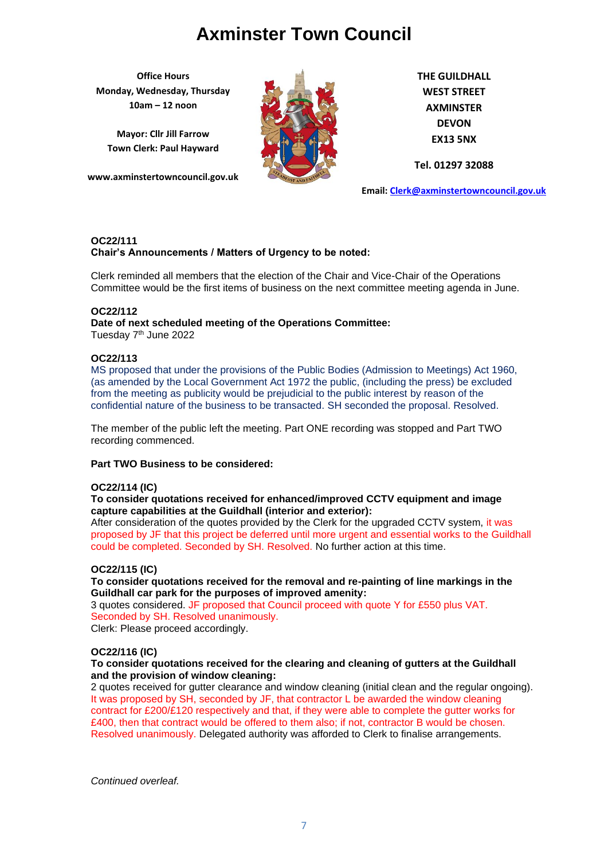**Office Hours Monday, Wednesday, Thursday 10am – 12 noon**

**Mayor: Cllr Jill Farrow Town Clerk: Paul Hayward**

**www.axminstertowncouncil.gov.uk**



**THE GUILDHALL WEST STREET AXMINSTER DEVON EX13 5NX**

**Tel. 01297 32088**

**Email: [Clerk@axminstertowncouncil.gov.uk](file://///axm-svr-1/company/Templates/Clerk@axminstertowncouncil.gov.uk)**

### **OC22/111 Chair's Announcements / Matters of Urgency to be noted:**

**TEL: 01297 32088** Committee would be the first items of business on the next committee meeting agenda in June. Clerk reminded all members that the election of the Chair and Vice-Chair of the Operations

## **OC22/112**

**Date of next scheduled meeting of the Operations Committee:** Tuesday 7<sup>th</sup> June 2022

## **OC22/113**

MS proposed that under the provisions of the Public Bodies (Admission to Meetings) Act 1960, (as amended by the Local Government Act 1972 the public, (including the press) be excluded from the meeting as publicity would be prejudicial to the public interest by reason of the confidential nature of the business to be transacted. SH seconded the proposal. Resolved.

The member of the public left the meeting. Part ONE recording was stopped and Part TWO recording commenced.

## **Part TWO Business to be considered:**

### **OC22/114 (IC)**

## **To consider quotations received for enhanced/improved CCTV equipment and image capture capabilities at the Guildhall (interior and exterior):**

After consideration of the quotes provided by the Clerk for the upgraded CCTV system, it was proposed by JF that this project be deferred until more urgent and essential works to the Guildhall could be completed. Seconded by SH. Resolved. No further action at this time.

### **OC22/115 (IC)**

**To consider quotations received for the removal and re-painting of line markings in the Guildhall car park for the purposes of improved amenity:**

3 quotes considered. JF proposed that Council proceed with quote Y for £550 plus VAT. Seconded by SH. Resolved unanimously. Clerk: Please proceed accordingly.

## **OC22/116 (IC)**

### **To consider quotations received for the clearing and cleaning of gutters at the Guildhall and the provision of window cleaning:**

2 quotes received for gutter clearance and window cleaning (initial clean and the regular ongoing). It was proposed by SH, seconded by JF, that contractor L be awarded the window cleaning contract for £200/£120 respectively and that, if they were able to complete the gutter works for £400, then that contract would be offered to them also; if not, contractor B would be chosen. Resolved unanimously. Delegated authority was afforded to Clerk to finalise arrangements.